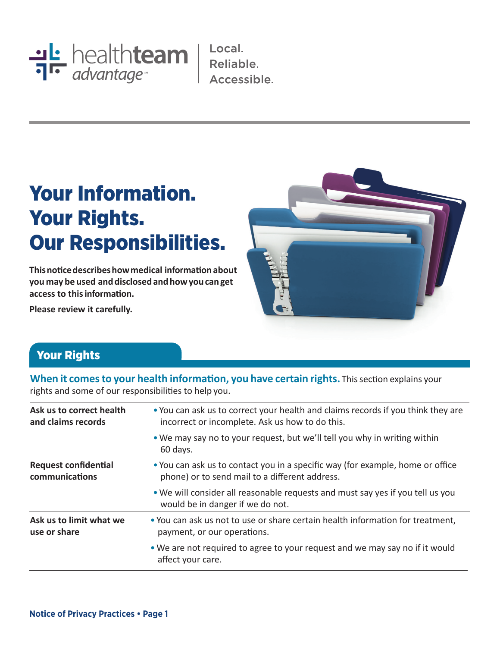

Local. Reliable. Accessible.

# Your Information. Your Rights. Our Responsibilities.

**This notice describes how medical information about you may be used and disclosed and how you can get access to this information.**

**Please review it carefully.**



## Your Rights

**When it comes to your health information, you have certain rights.** This section explains your rights and some of our responsibilities to help you.

| Ask us to correct health    | . You can ask us to correct your health and claims records if you think they are                                   |  |
|-----------------------------|--------------------------------------------------------------------------------------------------------------------|--|
| and claims records          | incorrect or incomplete. Ask us how to do this.                                                                    |  |
|                             | . We may say no to your request, but we'll tell you why in writing within<br>60 days.                              |  |
| <b>Request confidential</b> | • You can ask us to contact you in a specific way (for example, home or office                                     |  |
| communications              | phone) or to send mail to a different address.                                                                     |  |
|                             | . We will consider all reasonable requests and must say yes if you tell us you<br>would be in danger if we do not. |  |
| Ask us to limit what we     | . You can ask us not to use or share certain health information for treatment,                                     |  |
| use or share                | payment, or our operations.                                                                                        |  |
|                             | . We are not required to agree to your request and we may say no if it would<br>affect your care.                  |  |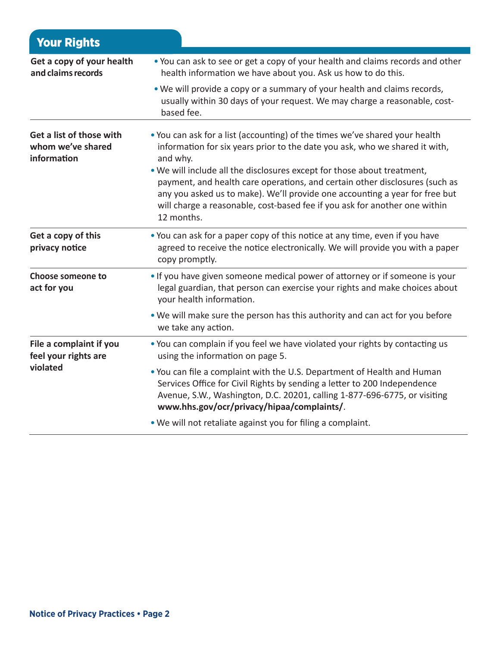| <b>Your Rights</b>                                           |                                                                                                                                                                                                                                                                                                                                   |  |
|--------------------------------------------------------------|-----------------------------------------------------------------------------------------------------------------------------------------------------------------------------------------------------------------------------------------------------------------------------------------------------------------------------------|--|
| Get a copy of your health<br>and claims records              | . You can ask to see or get a copy of your health and claims records and other<br>health information we have about you. Ask us how to do this.                                                                                                                                                                                    |  |
|                                                              | . We will provide a copy or a summary of your health and claims records,<br>usually within 30 days of your request. We may charge a reasonable, cost-<br>based fee.                                                                                                                                                               |  |
| Get a list of those with<br>whom we've shared<br>information | • You can ask for a list (accounting) of the times we've shared your health<br>information for six years prior to the date you ask, who we shared it with,<br>and why.                                                                                                                                                            |  |
|                                                              | . We will include all the disclosures except for those about treatment,<br>payment, and health care operations, and certain other disclosures (such as<br>any you asked us to make). We'll provide one accounting a year for free but<br>will charge a reasonable, cost-based fee if you ask for another one within<br>12 months. |  |
| Get a copy of this<br>privacy notice                         | • You can ask for a paper copy of this notice at any time, even if you have<br>agreed to receive the notice electronically. We will provide you with a paper<br>copy promptly.                                                                                                                                                    |  |
| Choose someone to<br>act for you                             | . If you have given someone medical power of attorney or if someone is your<br>legal guardian, that person can exercise your rights and make choices about<br>your health information.                                                                                                                                            |  |
|                                                              | . We will make sure the person has this authority and can act for you before<br>we take any action.                                                                                                                                                                                                                               |  |
| File a complaint if you<br>feel your rights are<br>violated  | . You can complain if you feel we have violated your rights by contacting us<br>using the information on page 5.                                                                                                                                                                                                                  |  |
|                                                              | . You can file a complaint with the U.S. Department of Health and Human<br>Services Office for Civil Rights by sending a letter to 200 Independence<br>Avenue, S.W., Washington, D.C. 20201, calling 1-877-696-6775, or visiting<br>www.hhs.gov/ocr/privacy/hipaa/complaints/.                                                    |  |
|                                                              | . We will not retaliate against you for filing a complaint.                                                                                                                                                                                                                                                                       |  |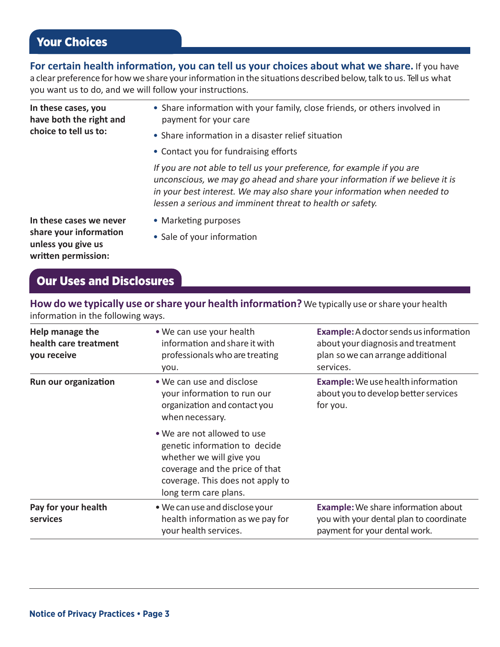## Your Choices

#### **For certain health information, you can tell us your choices about what we share.** If you have

a clear preference for how we share your information in the situations described below, talk to us. Tell us what you want us to do, and we will follow your instructions.

**In these cases, you have both the right and choice to tell us to:**

**written permission:**

- Share information with your family, close friends, or others involved in payment for your care
- Share information in a disaster relief situation
- Contact you for fundraising efforts

If you are not able to tell us your preference, for example if you are unconscious, we may go ahead and share your information if we believe it is in your best interest. We may also share your information when needed to lessen a serious and imminent threat to health or safety.

- **In these cases we never share your information unless you give us**
- Marketing purposes
- Sale of your information

## Our Uses and Disclosures

**How do we typically use or share your health information?** We typically use or share your health information in the following ways.

| Help manage the<br>health care treatment<br>you receive | • We can use your health<br>information and share it with<br>professionals who are treating<br>you.                                                                                     | <b>Example:</b> A doctor sends us information<br>about your diagnosis and treatment<br>plan so we can arrange additional<br>services. |
|---------------------------------------------------------|-----------------------------------------------------------------------------------------------------------------------------------------------------------------------------------------|---------------------------------------------------------------------------------------------------------------------------------------|
| Run our organization                                    | • We can use and disclose<br>your information to run our<br>organization and contact you<br>when necessary.                                                                             | <b>Example:</b> We use health information<br>about you to develop better services<br>for you.                                         |
|                                                         | • We are not allowed to use<br>genetic information to decide<br>whether we will give you<br>coverage and the price of that<br>coverage. This does not apply to<br>long term care plans. |                                                                                                                                       |
| Pay for your health<br>services                         | . We can use and disclose your<br>health information as we pay for<br>your health services.                                                                                             | <b>Example:</b> We share information about<br>you with your dental plan to coordinate<br>payment for your dental work.                |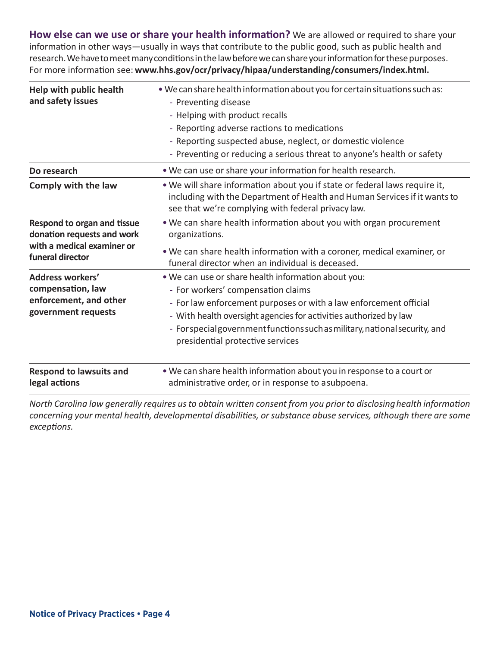**How else can we use or share your health information?** We are allowed or required to share your information in other ways—usually in ways that contribute to the public good, such as public health and research. We have to meet many conditions in the law before we can share your information for these purposes. For more information see: **www.hhs.gov/ocr/privacy/hipaa/understanding/consumers/index.html.**

| Help with public health<br>and safety issues              | . We can share health information about you for certain situations such as:<br>- Preventing disease<br>- Helping with product recalls<br>- Reporting adverse ractions to medications                          |  |  |
|-----------------------------------------------------------|---------------------------------------------------------------------------------------------------------------------------------------------------------------------------------------------------------------|--|--|
|                                                           |                                                                                                                                                                                                               |  |  |
|                                                           |                                                                                                                                                                                                               |  |  |
|                                                           | - Preventing or reducing a serious threat to anyone's health or safety                                                                                                                                        |  |  |
| Do research                                               | . We can use or share your information for health research.                                                                                                                                                   |  |  |
| Comply with the law                                       | . We will share information about you if state or federal laws require it,<br>including with the Department of Health and Human Services if it wants to<br>see that we're complying with federal privacy law. |  |  |
| Respond to organ and tissue<br>donation requests and work | . We can share health information about you with organ procurement<br>organizations.                                                                                                                          |  |  |
| with a medical examiner or<br>funeral director            | . We can share health information with a coroner, medical examiner, or<br>funeral director when an individual is deceased.                                                                                    |  |  |
| Address workers'                                          | . We can use or share health information about you:                                                                                                                                                           |  |  |
| compensation, law                                         | - For workers' compensation claims                                                                                                                                                                            |  |  |
| enforcement, and other                                    | - For law enforcement purposes or with a law enforcement official                                                                                                                                             |  |  |
| government requests                                       | - With health oversight agencies for activities authorized by law                                                                                                                                             |  |  |
|                                                           | - For special government functions such as military, national security, and<br>presidential protective services                                                                                               |  |  |
| <b>Respond to lawsuits and</b><br>legal actions           | . We can share health information about you in response to a court or<br>administrative order, or in response to asubpoena.                                                                                   |  |  |

*North Carolina law generally requires us to obtain written consent from you prior to disclosing health information concerning your mental health, developmental disabilities, or substance abuse services, although there are some exceptions.*